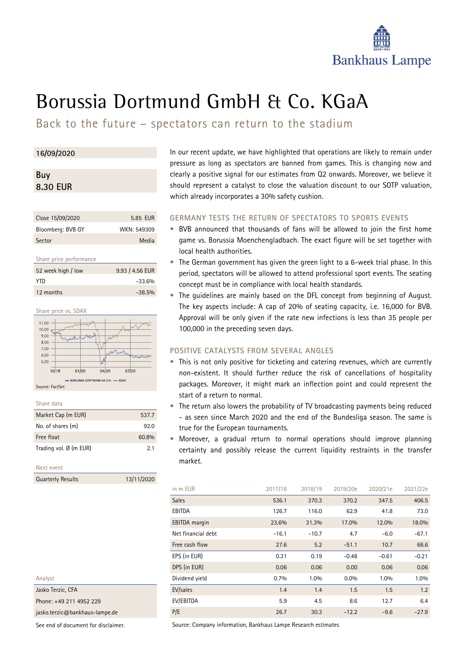

# Borussia Dortmund GmbH & Co. KGaA

Back to the future – spectators can return to the stadium

### **16/09/2020**

## **Buy 8.30 EUR**

| Close 15/09/2020  | 5.85 EUR    |
|-------------------|-------------|
| Bloomberg: BVB GY | WKN: 549309 |
| Sector            | Media       |

#### Share price performance

| 52 week high / low | 9.93 / 4.56 EUR |
|--------------------|-----------------|
| YTD.               | $-33.6%$        |
| 12 months          | $-38.5%$        |



Source: FactSet

| share data |
|------------|
|            |

| Market Cap (m EUR)     | 537.7          |
|------------------------|----------------|
| No. of shares (m)      | 92 O           |
| Free float             | 60.8%          |
| Trading vol. Ø (m EUR) | 2 <sub>1</sub> |
|                        |                |

#### Next event

Quarterly Results 13/11/2020

In our recent update, we have highlighted that operations are likely to remain under pressure as long as spectators are banned from games. This is changing now and clearly a positive signal for our estimates from Q2 onwards. Moreover, we believe it should represent a catalyst to close the valuation discount to our SOTP valuation, which already incorporates a 30% safety cushion.

#### **GERMANY TESTS THE RETURN OF SPECTATORS TO SPORTS EVENTS**

- BVB announced that thousands of fans will be allowed to join the first home game vs. Borussia Moenchengladbach. The exact figure will be set together with local health authorities.
- The German government has given the green light to a 6-week trial phase. In this period, spectators will be allowed to attend professional sport events. The seating concept must be in compliance with local health standards.
- The quidelines are mainly based on the DFL concept from beginning of August. The key aspects include: A cap of 20% of seating capacity, i.e. 16,000 for BVB. Approval will be only given if the rate new infections is less than 35 people per 100,000 in the preceding seven days.

### **POSITIVE CATALYSTS FROM SEVERAL ANGLES**

- This is not only positive for ticketing and catering revenues, which are currently non-existent. It should further reduce the risk of cancellations of hospitality packages. Moreover, it might mark an inflection point and could represent the start of a return to normal.
- The return also lowers the probability of TV broadcasting payments being reduced - as seen since March 2020 and the end of the Bundesliga season. The same is true for the European tournaments.
- Moreover, a gradual return to normal operations should improve planning certainty and possibly release the current liquidity restraints in the transfer market.

| in m EUR             | 2017/18 | 2018/19 | 2019/20e | 2020/21e | 2021/22e |
|----------------------|---------|---------|----------|----------|----------|
| <b>Sales</b>         | 536.1   | 370.3   | 370.2    | 347.5    | 406.5    |
| EBITDA               | 126.7   | 116.0   | 62.9     | 41.8     | 73.0     |
| <b>EBITDA</b> margin | 23.6%   | 31.3%   | 17.0%    | 12.0%    | 18.0%    |
| Net financial debt   | $-16.1$ | $-10.7$ | 4.7      | $-6.0$   | $-67.1$  |
| Free cash flow       | 27.6    | 5.2     | $-51.1$  | 10.7     | 66.6     |
| EPS (in EUR)         | 0.31    | 0.19    | $-0.48$  | $-0.61$  | $-0.21$  |
| DPS (in EUR)         | 0.06    | 0.06    | 0.00     | 0.06     | 0.06     |
| Dividend yield       | 0.7%    | 1.0%    | $0.0\%$  | 1.0%     | 1.0%     |
| EV/sales             | 1.4     | 1.4     | 1.5      | 1.5      | 1.2      |
| EV/EBITDA            | 5.9     | 4.5     | 8.6      | 12.7     | 6.4      |
| P/E                  | 26.7    | 30.3    | $-12.2$  | $-9.6$   | $-27.9$  |

Analyst Jasko Terzic, CFA

Phone: +49 211 4952 229

jasko.terzic@bankhaus-lampe.de

See end of document for disclaimer.

Source: Company information, Bankhaus Lampe Research estimates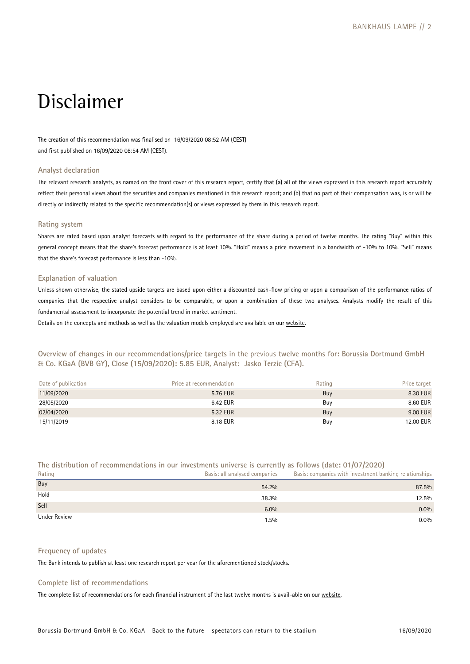## Disclaimer

The creation of this recommendation was finalised on 16/09/2020 08:52 AM (CEST) and first published on 16/09/2020 08:54 AM (CEST).

#### **Analyst declaration**

The relevant research analysts, as named on the front cover of this research report, certify that (a) [all of the](https://www.bankhaus-lampe.de/en/research/file/2E1F42C7-9372-4AB5-9D28-91CB91EAA40E/1852) views expressed in this research report accurately reflect their personal views about the securities and companies mentioned in this research report; and (b) that no part of their compensation was, is or will be directly or indirectly related to the specific recommendation(s) or views expressed by them in this research report.

#### **Rating system**

Shares are rated based upon analyst forecasts with regard to the performance of the share during a period of twelve months. The rating "Buy" within this general concept means that the share's forecast performance is at least 10%. "Hold" means a price movement in a bandwidth of -10% to 10%. "Sell" means that the share's forecast performance is less than -10%.

#### **Explanation of valuation**

Unless shown otherwise, the stated upside targets are based upon either a discounted cash-flow pricing or upon a comparison of the performance ratios of companies that the respective analyst considers to be comparable, or upon a combination of these two analyses. Analysts modify the result of this fundamental assessment to incorporate the potential trend in market sentiment.

Details on the concepts and methods as well as the valuation models employed are available on our website.

**Overview of changes in our recommendations/price targets in the** previous **twelve months for: Borussia Dortmund GmbH & Co. KGaA (BVB GY), Close (15/09/2020): 5.85 EUR, Analyst: Jasko Terzic (CFA).** 

| Date of publication | Price at recommendation | Rating | Price target |
|---------------------|-------------------------|--------|--------------|
| 11/09/2020          | 5.76 EUR                | Buy    | 8.30 EUR     |
| 28/05/2020          | 6.42 EUR                | Buv    | 8.60 EUR     |
| 02/04/2020          | 5.32 EUR                | Buy    | 9.00 EUR     |
| 15/11/2019          | 8.18 EUR                | Buy    | 12.00 EUR    |

#### **The distribution of recommendations in our investments universe is currently as follows (date: 01/07/2020)**

| Rating       | Basis: all analysed companies | Basis: companies with investment banking relationships |
|--------------|-------------------------------|--------------------------------------------------------|
| Buy          | 54.2%                         | 87.5%                                                  |
| Hold         | 38.3%                         | 12.5%                                                  |
| Sell         | 6.0%                          | $0.0\%$                                                |
| Under Review | $1.5\%$                       | $0.0\%$                                                |

#### **Frequency of updates**

The Bank intends to publish at least one research report per year for the aforementioned stock/stocks.

#### **Complete list of recommendations**

The complete list of recommendations for each financial instrument of the last twelve months is avail-able on our [website.](https://www.bankhaus-lampe.de/en/client-portal)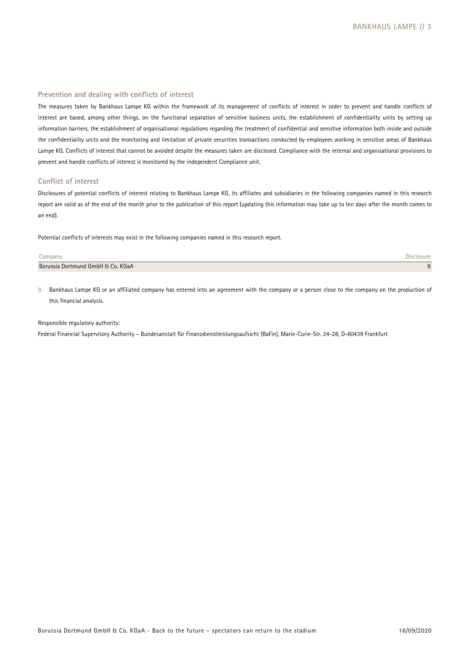#### **Prevention and dealing with conflicts of interest**

The measures taken by Bankhaus Lampe KG within the framework of its management of conflicts of interest in order to prevent and handle conflicts of interest are based, among other things, on the functional separation of sensitive business units, the establishment of confidentiality units by setting up information barriers, the establishment of organisational regulations regarding the treatment of confidential and sensitive information both inside and outside the confidentiality units and the monitoring and limitation of private securities transactions conducted by employees working in sensitive areas of Bankhaus Lampe KG. Conflicts of interest that cannot be avoided despite the measures taken are disclosed. Compliance with the internal and organisational provisions to prevent and handle conflicts of interest is monitored by the independent Compliance unit.

#### **Conflict of interest**

Disclosures of potential conflicts of interest relating to Bankhaus Lampe KG, its affiliates and subsidiaries in the following companies named in this research report are valid as of the end of the month prior to the publication of this report (updating this information may take up to ten days after the month comes to an end).

Potential conflicts of interests may exist in the following companies named in this research report.

| Jompany                           |  |
|-----------------------------------|--|
| Borussia Dortmund GmbH & Co. KGaA |  |

9. Bankhaus Lampe KG or an affiliated company has entered into an agreement with the company or a person close to the company on the production of this financial analysis.

#### Responsible regulatory authority:

Federal Financial Supervisory Authority – Bundesanstalt für Finanzdienstleistungsaufsicht (BaFin), Marie-Curie-Str. 24-28, D-60439 Frankfurt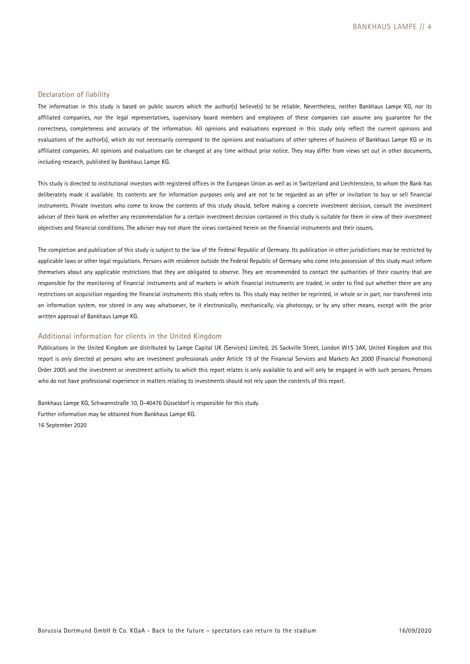#### **Declaration of liability**

The information in this study is based on public sources which the author(s) believe(s) to be reliable. Nevertheless, neither Bankhaus Lampe KG, nor its affiliated companies, nor the legal representatives, supervisory board members and employees of these companies can assume any guarantee for the correctness, completeness and accuracy of the information. All opinions and evaluations expressed in this study only reflect the current opinions and evaluations of the author(s), which do not necessarily correspond to the opinions and evaluations of other spheres of business of Bankhaus Lampe KG or its affiliated companies. All opinions and evaluations can be changed at any time without prior notice. They may differ from views set out in other documents, including research, published by Bankhaus Lampe KG.

This study is directed to institutional investors with registered offices in the European Union as well as in Switzerland and Liechtenstein, to whom the Bank has deliberately made it available. Its contents are for information purposes only and are not to be regarded as an offer or invitation to buy or sell financial instruments. Private investors who come to know the contents of this study should, before making a concrete investment decision, consult the investment adviser of their bank on whether any recommendation for a certain investment decision contained in this study is suitable for them in view of their investment objectives and financial conditions. The adviser may not share the views contained herein on the financial instruments and their issuers.

The completion and publication of this study is subject to the law of the Federal Republic of Germany. Its publication in other jurisdictions may be restricted by applicable laws or other legal regulations. Persons with residence outside the Federal Republic of Germany who come into possession of this study must inform themselves about any applicable restrictions that they are obligated to observe. They are recommended to contact the authorities of their country that are responsible for the monitoring of financial instruments and of markets in which financial instruments are traded, in order to find out whether there are any restrictions on acquisition regarding the financial instruments this study refers to. This study may neither be reprinted, in whole or in part, nor transferred into an information system, nor stored in any way whatsoever, be it electronically, mechanically, via photocopy, or by any other means, except with the prior written approval of Bankhaus Lampe KG.

#### **Additional information for clients in the United Kingdom**

Publications in the United Kingdom are distributed by Lampe Capital UK (Services) Limited, 25 Sackville Street, London W1S 3AX, United Kingdom and this report is only directed at persons who are investment professionals under Article 19 of the Financial Services and Markets Act 2000 (Financial Promotions) Order 2005 and the investment or investment activity to which this report relates is only available to and will only be engaged in with such persons. Persons who do not have professional experience in matters relating to investments should not rely upon the contents of this report.

Bankhaus Lampe KG, Schwannstraße 10, D-40476 Düsseldorf is responsible for this study. Further information may be obtained from Bankhaus Lampe KG. 16 September 2020